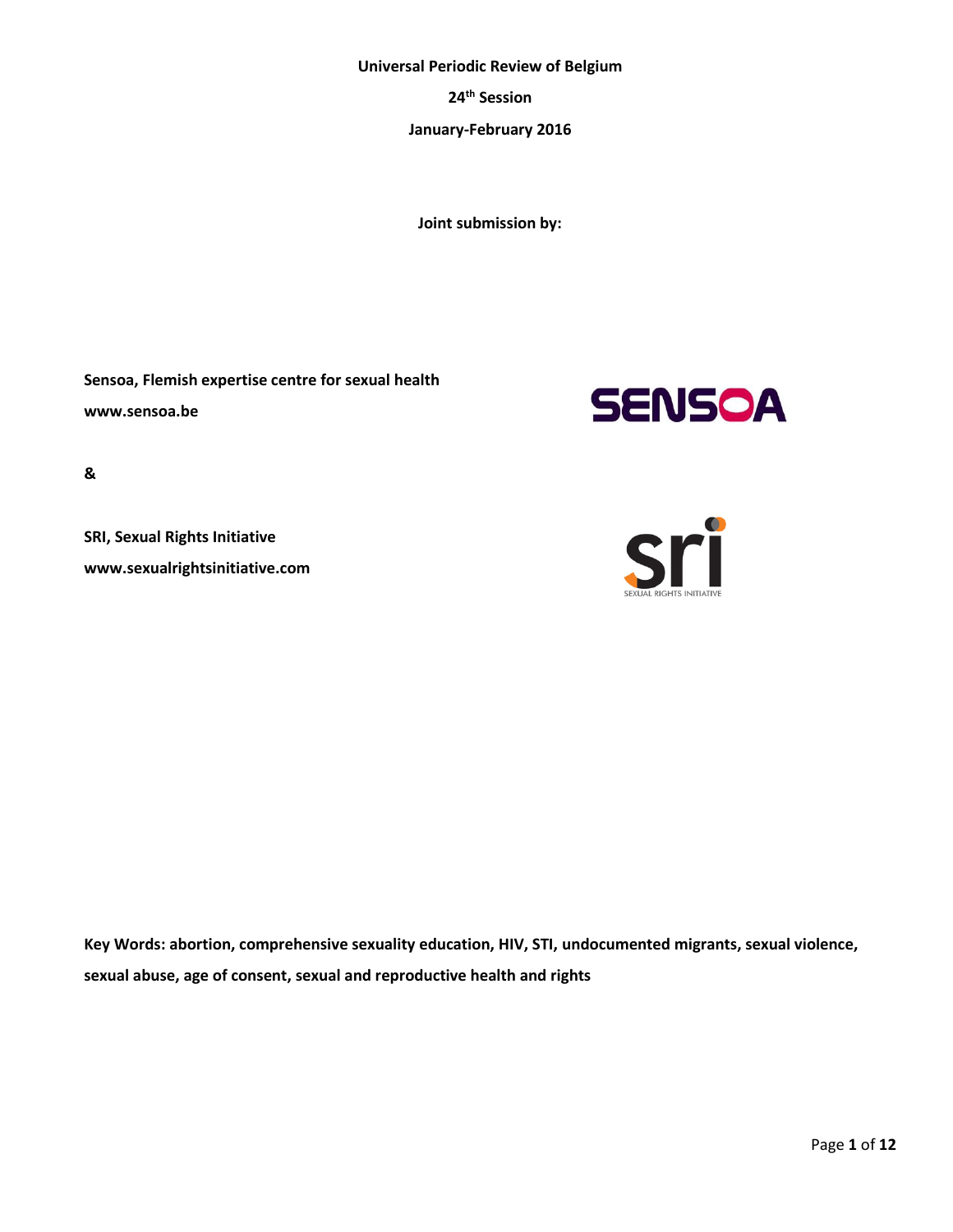## **Universal Periodic Review of Belgium**

**24th Session**

**January-February 2016**

**Joint submission by:**

**Sensoa, Flemish expertise centre for sexual health www.sensoa.be** 



**&** 

**SRI, Sexual Rights Initiative www.sexualrightsinitiative.com**



**Key Words: abortion, comprehensive sexuality education, HIV, STI, undocumented migrants, sexual violence, sexual abuse, age of consent, sexual and reproductive health and rights**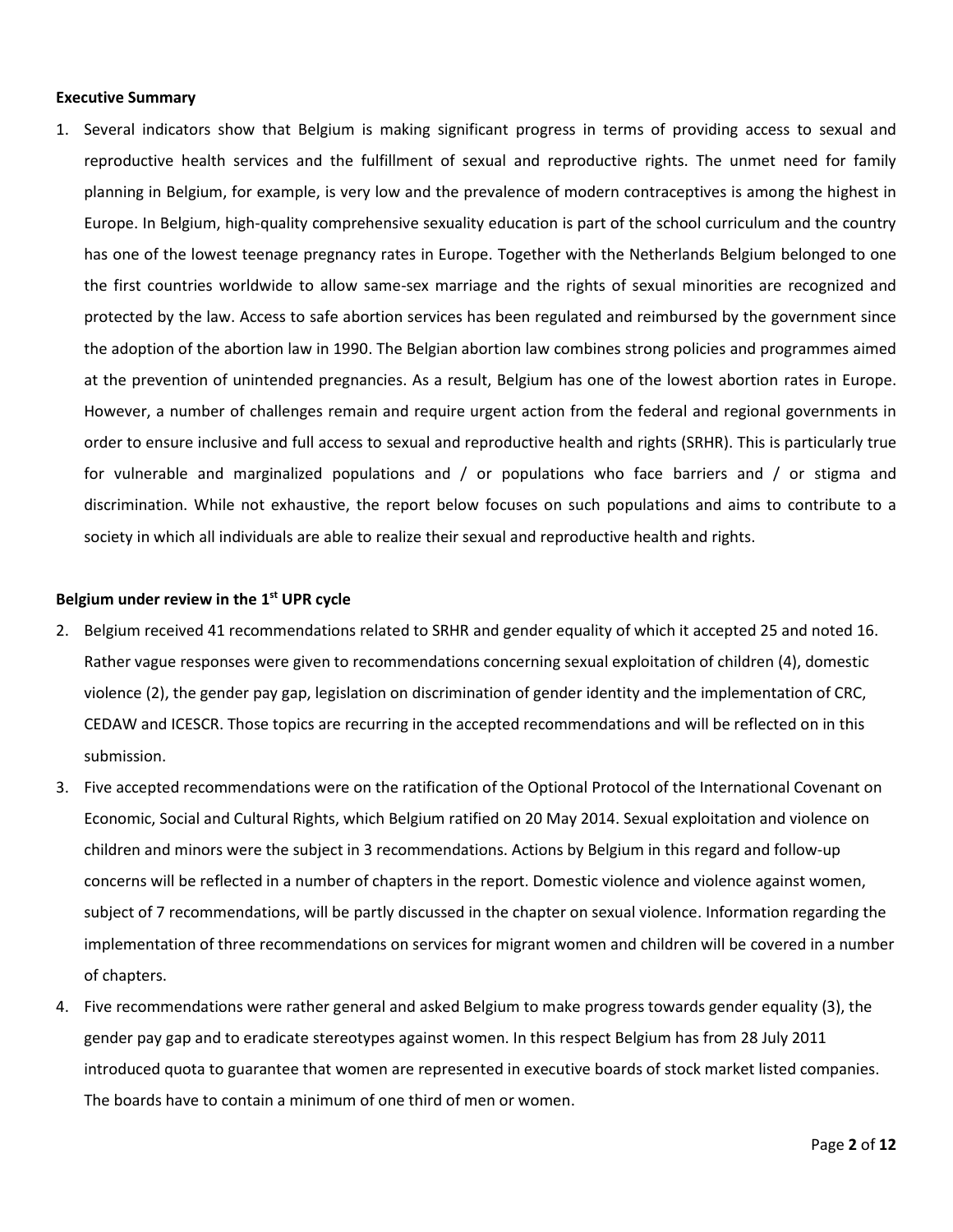#### **Executive Summary**

1. Several indicators show that Belgium is making significant progress in terms of providing access to sexual and reproductive health services and the fulfillment of sexual and reproductive rights. The unmet need for family planning in Belgium, for example, is very low and the prevalence of modern contraceptives is among the highest in Europe. In Belgium, high-quality comprehensive sexuality education is part of the school curriculum and the country has one of the lowest teenage pregnancy rates in Europe. Together with the Netherlands Belgium belonged to one the first countries worldwide to allow same-sex marriage and the rights of sexual minorities are recognized and protected by the law. Access to safe abortion services has been regulated and reimbursed by the government since the adoption of the abortion law in 1990. The Belgian abortion law combines strong policies and programmes aimed at the prevention of unintended pregnancies. As a result, Belgium has one of the lowest abortion rates in Europe. However, a number of challenges remain and require urgent action from the federal and regional governments in order to ensure inclusive and full access to sexual and reproductive health and rights (SRHR). This is particularly true for vulnerable and marginalized populations and / or populations who face barriers and / or stigma and discrimination. While not exhaustive, the report below focuses on such populations and aims to contribute to a society in which all individuals are able to realize their sexual and reproductive health and rights.

## **Belgium under review in the 1 st UPR cycle**

- 2. Belgium received 41 recommendations related to SRHR and gender equality of which it accepted 25 and noted 16. Rather vague responses were given to recommendations concerning sexual exploitation of children (4), domestic violence (2), the gender pay gap, legislation on discrimination of gender identity and the implementation of CRC, CEDAW and ICESCR. Those topics are recurring in the accepted recommendations and will be reflected on in this submission.
- 3. Five accepted recommendations were on the ratification of the Optional Protocol of the International Covenant on Economic, Social and Cultural Rights, which Belgium ratified on 20 May 2014. Sexual exploitation and violence on children and minors were the subject in 3 recommendations. Actions by Belgium in this regard and follow-up concerns will be reflected in a number of chapters in the report. Domestic violence and violence against women, subject of 7 recommendations, will be partly discussed in the chapter on sexual violence. Information regarding the implementation of three recommendations on services for migrant women and children will be covered in a number of chapters.
- 4. Five recommendations were rather general and asked Belgium to make progress towards gender equality (3), the gender pay gap and to eradicate stereotypes against women. In this respect Belgium has from 28 July 2011 introduced quota to guarantee that women are represented in executive boards of stock market listed companies. The boards have to contain a minimum of one third of men or women.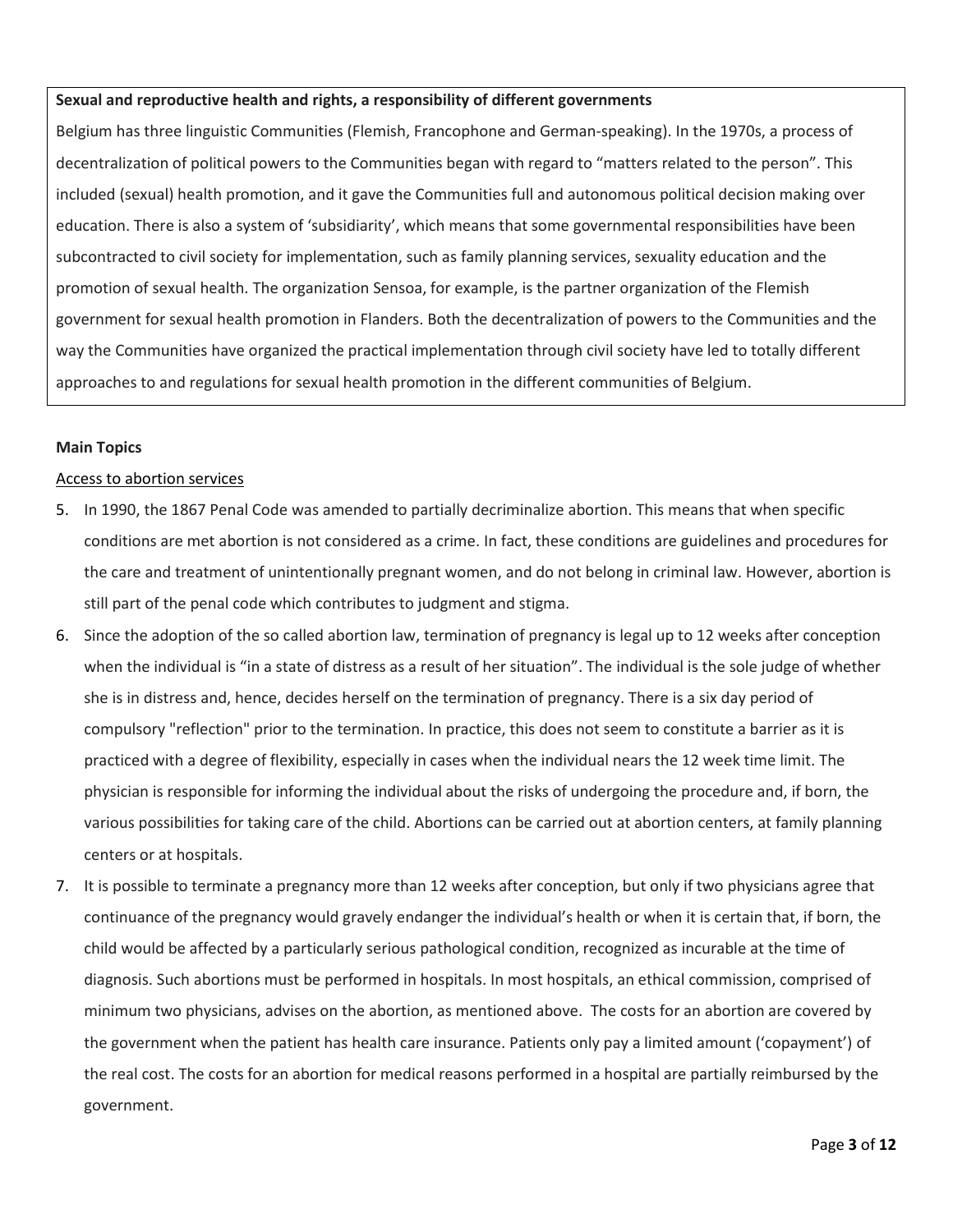## **Sexual and reproductive health and rights, a responsibility of different governments**

Belgium has three linguistic Communities (Flemish, Francophone and German-speaking). In the 1970s, a process of decentralization of political powers to the Communities began with regard to "matters related to the person". This included (sexual) health promotion, and it gave the Communities full and autonomous political decision making over education. There is also a system of 'subsidiarity', which means that some governmental responsibilities have been subcontracted to civil society for implementation, such as family planning services, sexuality education and the promotion of sexual health. The organization Sensoa, for example, is the partner organization of the Flemish government for sexual health promotion in Flanders. Both the decentralization of powers to the Communities and the way the Communities have organized the practical implementation through civil society have led to totally different approaches to and regulations for sexual health promotion in the different communities of Belgium.

## **Main Topics**

## Access to abortion services

- 5. In 1990, the 1867 Penal Code was amended to partially decriminalize abortion. This means that when specific conditions are met abortion is not considered as a crime. In fact, these conditions are guidelines and procedures for the care and treatment of unintentionally pregnant women, and do not belong in criminal law. However, abortion is still part of the penal code which contributes to judgment and stigma.
- 6. Since the adoption of the so called abortion law, termination of pregnancy is legal up to 12 weeks after conception when the individual is "in a state of distress as a result of her situation". The individual is the sole judge of whether she is in distress and, hence, decides herself on the termination of pregnancy. There is a six day period of compulsory "reflection" prior to the termination. In practice, this does not seem to constitute a barrier as it is practiced with a degree of flexibility, especially in cases when the individual nears the 12 week time limit. The physician is responsible for informing the individual about the risks of undergoing the procedure and, if born, the various possibilities for taking care of the child. Abortions can be carried out at abortion centers, at family planning centers or at hospitals.
- 7. It is possible to terminate a pregnancy more than 12 weeks after conception, but only if two physicians agree that continuance of the pregnancy would gravely endanger the individual's health or when it is certain that, if born, the child would be affected by a particularly serious pathological condition, recognized as incurable at the time of diagnosis. Such abortions must be performed in hospitals. In most hospitals, an ethical commission, comprised of minimum two physicians, advises on the abortion, as mentioned above. The costs for an abortion are covered by the government when the patient has health care insurance. Patients only pay a limited amount ('copayment') of the real cost. The costs for an abortion for medical reasons performed in a hospital are partially reimbursed by the government.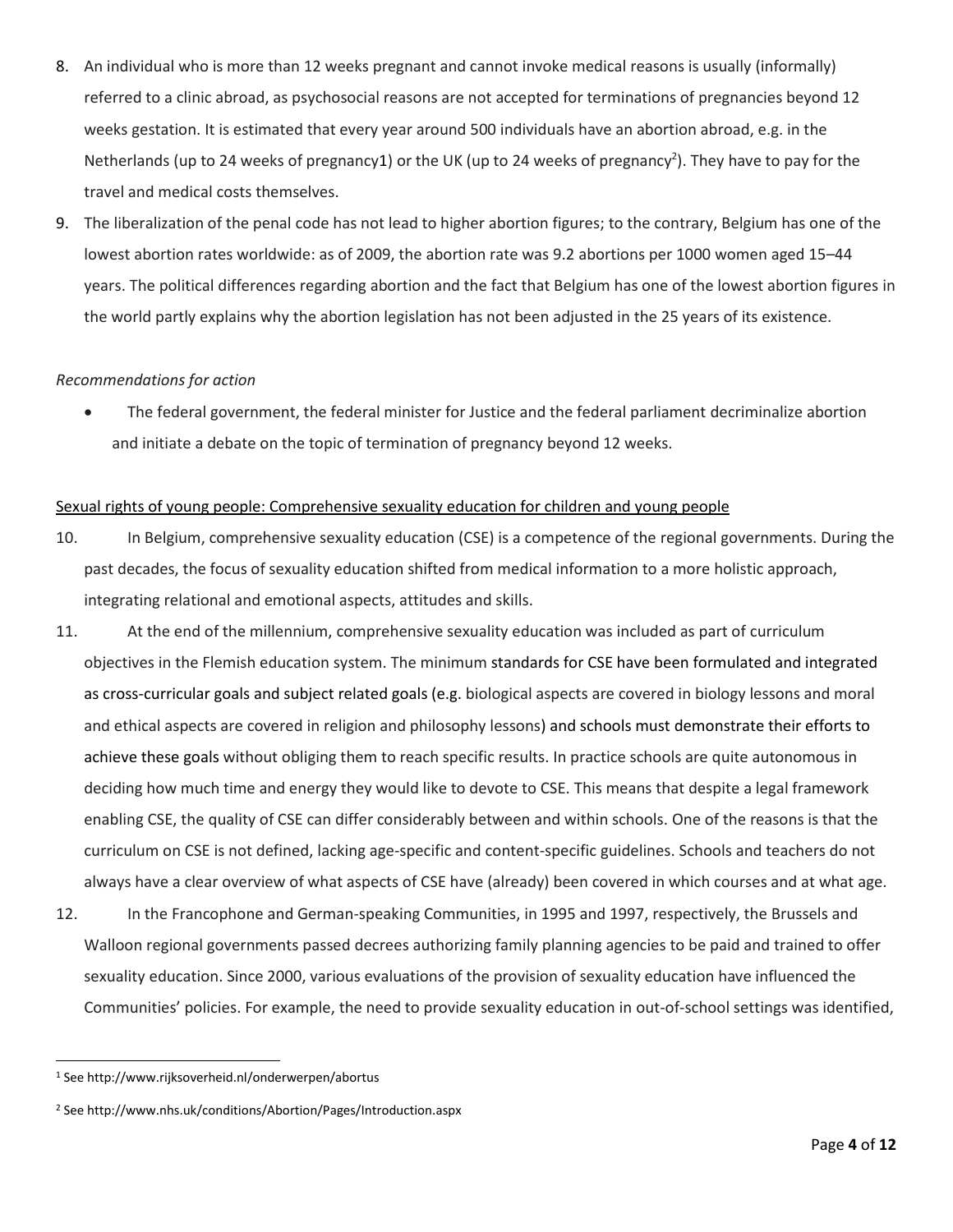- 8. An individual who is more than 12 weeks pregnant and cannot invoke medical reasons is usually (informally) referred to a clinic abroad, as psychosocial reasons are not accepted for terminations of pregnancies beyond 12 weeks gestation. It is estimated that every year around 500 individuals have an abortion abroad, e.g. in the Netherlands (up to 24 weeks of pregnancy1) or the UK (up to 24 weeks of pregnancy<sup>2</sup>). They have to pay for the travel and medical costs themselves.
- 9. The liberalization of the penal code has not lead to higher abortion figures; to the contrary, Belgium has one of the lowest abortion rates worldwide: as of 2009, the abortion rate was 9.2 abortions per 1000 women aged 15–44 years. The political differences regarding abortion and the fact that Belgium has one of the lowest abortion figures in the world partly explains why the abortion legislation has not been adjusted in the 25 years of its existence.

## *Recommendations for action*

 The federal government, the federal minister for Justice and the federal parliament decriminalize abortion and initiate a debate on the topic of termination of pregnancy beyond 12 weeks.

## Sexual rights of young people: Comprehensive sexuality education for children and young people

- 10. In Belgium, comprehensive sexuality education (CSE) is a competence of the regional governments. During the past decades, the focus of sexuality education shifted from medical information to a more holistic approach, integrating relational and emotional aspects, attitudes and skills.
- 11. At the end of the millennium, comprehensive sexuality education was included as part of curriculum objectives in the Flemish education system. The minimum standards for CSE have been formulated and integrated as cross-curricular goals and subject related goals (e.g. biological aspects are covered in biology lessons and moral and ethical aspects are covered in religion and philosophy lessons) and schools must demonstrate their efforts to achieve these goals without obliging them to reach specific results. In practice schools are quite autonomous in deciding how much time and energy they would like to devote to CSE. This means that despite a legal framework enabling CSE, the quality of CSE can differ considerably between and within schools. One of the reasons is that the curriculum on CSE is not defined, lacking age-specific and content-specific guidelines. Schools and teachers do not always have a clear overview of what aspects of CSE have (already) been covered in which courses and at what age.
- 12. In the Francophone and German-speaking Communities, in 1995 and 1997, respectively, the Brussels and Walloon regional governments passed decrees authorizing family planning agencies to be paid and trained to offer sexuality education. Since 2000, various evaluations of the provision of sexuality education have influenced the Communities' policies. For example, the need to provide sexuality education in out-of-school settings was identified,

 $\overline{\phantom{a}}$ 

<sup>1</sup> See http://www.rijksoverheid.nl/onderwerpen/abortus

<sup>2</sup> See http://www.nhs.uk/conditions/Abortion/Pages/Introduction.aspx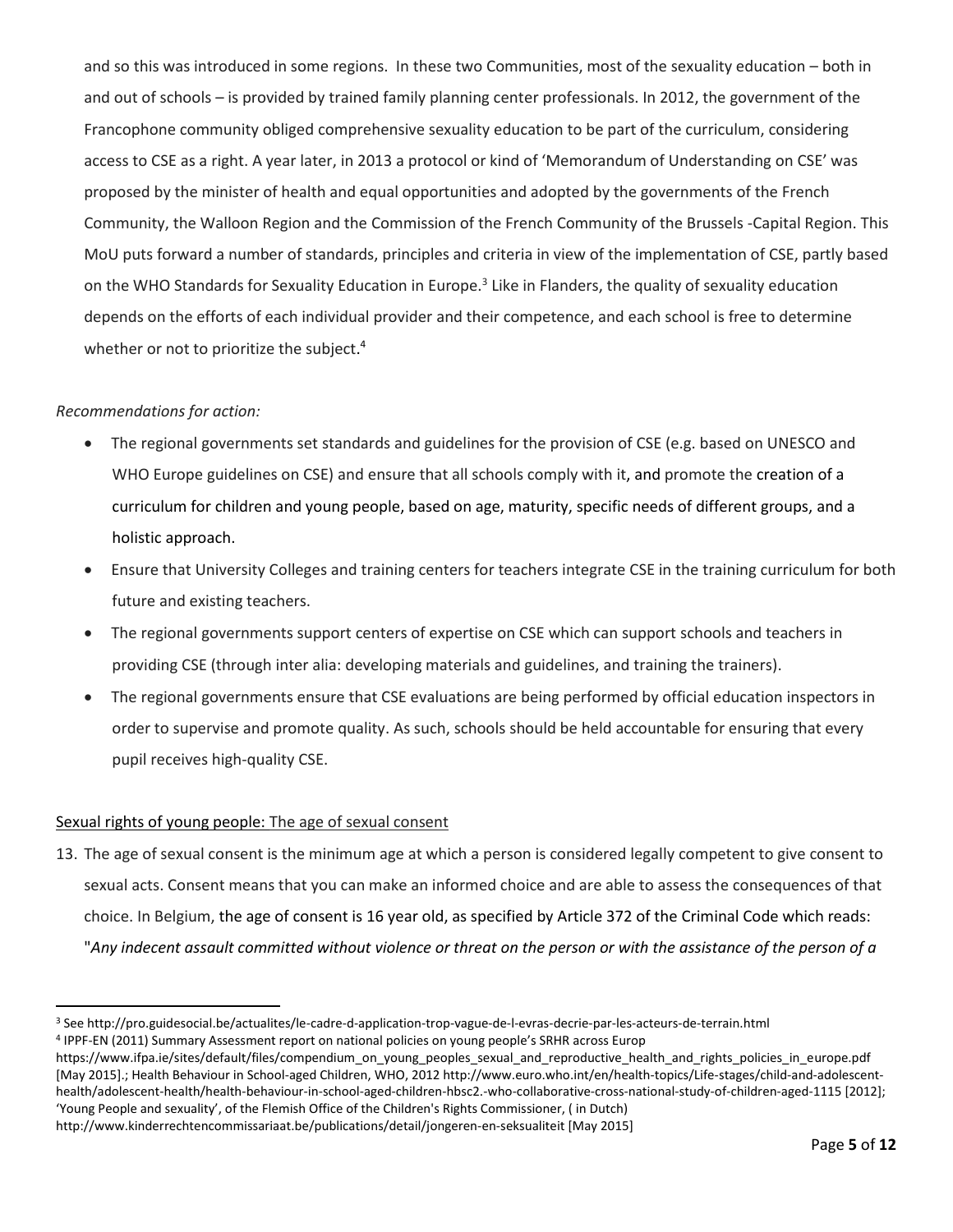and so this was introduced in some regions. In these two Communities, most of the sexuality education – both in and out of schools – is provided by trained family planning center professionals. In 2012, the government of the Francophone community obliged comprehensive sexuality education to be part of the curriculum, considering access to CSE as a right. A year later, in 2013 a protocol or kind of 'Memorandum of Understanding on CSE' was proposed by the minister of health and equal opportunities and adopted by the governments of the French Community, the Walloon Region and the Commission of the French Community of the Brussels -Capital Region. This MoU puts forward a number of standards, principles and criteria in view of the implementation of CSE, partly based on the WHO Standards for Sexuality Education in Europe.<sup>3</sup> Like in Flanders, the quality of sexuality education depends on the efforts of each individual provider and their competence, and each school is free to determine whether or not to prioritize the subject.<sup>4</sup>

# *Recommendations for action:*

 $\overline{\phantom{a}}$ 

- The regional governments set standards and guidelines for the provision of CSE (e.g. based on UNESCO and WHO Europe guidelines on CSE) and ensure that all schools comply with it, and promote the creation of a curriculum for children and young people, based on age, maturity, specific needs of different groups, and a holistic approach.
- Ensure that University Colleges and training centers for teachers integrate CSE in the training curriculum for both future and existing teachers.
- The regional governments support centers of expertise on CSE which can support schools and teachers in providing CSE (through inter alia: developing materials and guidelines, and training the trainers).
- The regional governments ensure that CSE evaluations are being performed by official education inspectors in order to supervise and promote quality. As such, schools should be held accountable for ensuring that every pupil receives high-quality CSE.

## Sexual rights of young people: The age of sexual consent

13. The age of sexual consent is the minimum age at which a person is considered legally competent to give consent to sexual acts. Consent means that you can make an informed choice and are able to assess the consequences of that choice. In Belgium, the age of consent is 16 year old, as specified by Article 372 of the Criminal Code which reads: "*Any indecent assault committed without violence or threat on the person or with the assistance of the person of a* 

<sup>3</sup> See http://pro.guidesocial.be/actualites/le-cadre-d-application-trop-vague-de-l-evras-decrie-par-les-acteurs-de-terrain.html

<sup>4</sup> IPPF-EN (2011) Summary Assessment report on national policies on young people's SRHR across Europ

https://www.ifpa.ie/sites/default/files/compendium\_on\_young\_peoples\_sexual\_and\_reproductive\_health\_and\_rights\_policies\_in\_europe.pdf [May 2015].; Health Behaviour in School-aged Children, WHO, 2012 http://www.euro.who.int/en/health-topics/Life-stages/child-and-adolescenthealth/adolescent-health/health-behaviour-in-school-aged-children-hbsc2.-who-collaborative-cross-national-study-of-children-aged-1115 [2012]; 'Young People and sexuality', of the Flemish Office of the Children's Rights Commissioner, ( in Dutch)

<http://www.kinderrechtencommissariaat.be/publications/detail/jongeren-en-seksualiteit> [May 2015]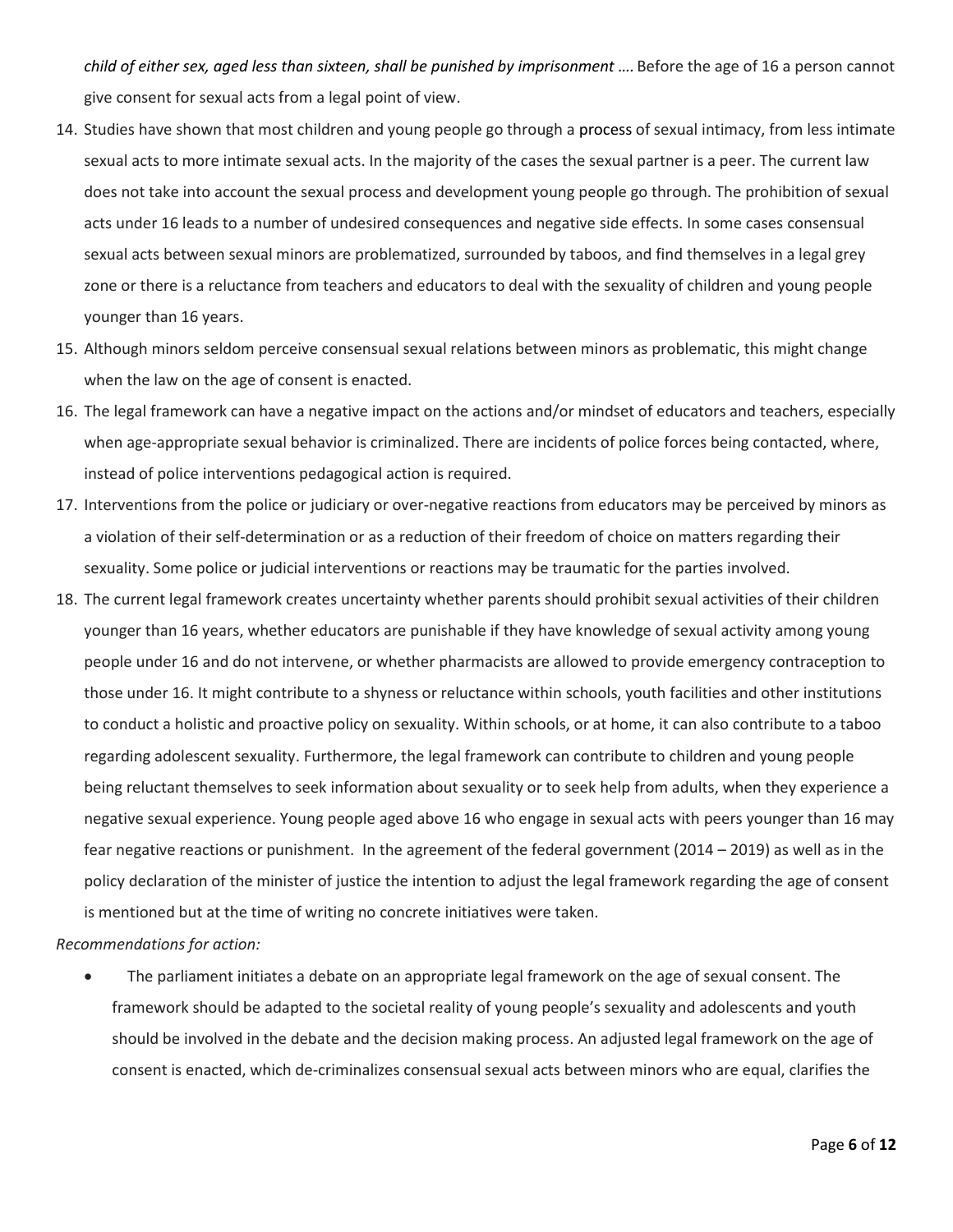*child of either sex, aged less than sixteen, shall be punished by imprisonment ….* Before the age of 16 a person cannot give consent for sexual acts from a legal point of view.

- 14. Studies have shown that most children and young people go through a process of sexual intimacy, from less intimate sexual acts to more intimate sexual acts. In the majority of the cases the sexual partner is a peer. The current law does not take into account the sexual process and development young people go through. The prohibition of sexual acts under 16 leads to a number of undesired consequences and negative side effects. In some cases consensual sexual acts between sexual minors are problematized, surrounded by taboos, and find themselves in a legal grey zone or there is a reluctance from teachers and educators to deal with the sexuality of children and young people younger than 16 years.
- 15. Although minors seldom perceive consensual sexual relations between minors as problematic, this might change when the law on the age of consent is enacted.
- 16. The legal framework can have a negative impact on the actions and/or mindset of educators and teachers, especially when age-appropriate sexual behavior is criminalized. There are incidents of police forces being contacted, where, instead of police interventions pedagogical action is required.
- 17. Interventions from the police or judiciary or over-negative reactions from educators may be perceived by minors as a violation of their self-determination or as a reduction of their freedom of choice on matters regarding their sexuality. Some police or judicial interventions or reactions may be traumatic for the parties involved.
- 18. The current legal framework creates uncertainty whether parents should prohibit sexual activities of their children younger than 16 years, whether educators are punishable if they have knowledge of sexual activity among young people under 16 and do not intervene, or whether pharmacists are allowed to provide emergency contraception to those under 16. It might contribute to a shyness or reluctance within schools, youth facilities and other institutions to conduct a holistic and proactive policy on sexuality. Within schools, or at home, it can also contribute to a taboo regarding adolescent sexuality. Furthermore, the legal framework can contribute to children and young people being reluctant themselves to seek information about sexuality or to seek help from adults, when they experience a negative sexual experience. Young people aged above 16 who engage in sexual acts with peers younger than 16 may fear negative reactions or punishment. In the agreement of the federal government (2014 – 2019) as well as in the policy declaration of the minister of justice the intention to adjust the legal framework regarding the age of consent is mentioned but at the time of writing no concrete initiatives were taken.

*Recommendations for action:*

 The parliament initiates a debate on an appropriate legal framework on the age of sexual consent. The framework should be adapted to the societal reality of young people's sexuality and adolescents and youth should be involved in the debate and the decision making process. An adjusted legal framework on the age of consent is enacted, which de-criminalizes consensual sexual acts between minors who are equal, clarifies the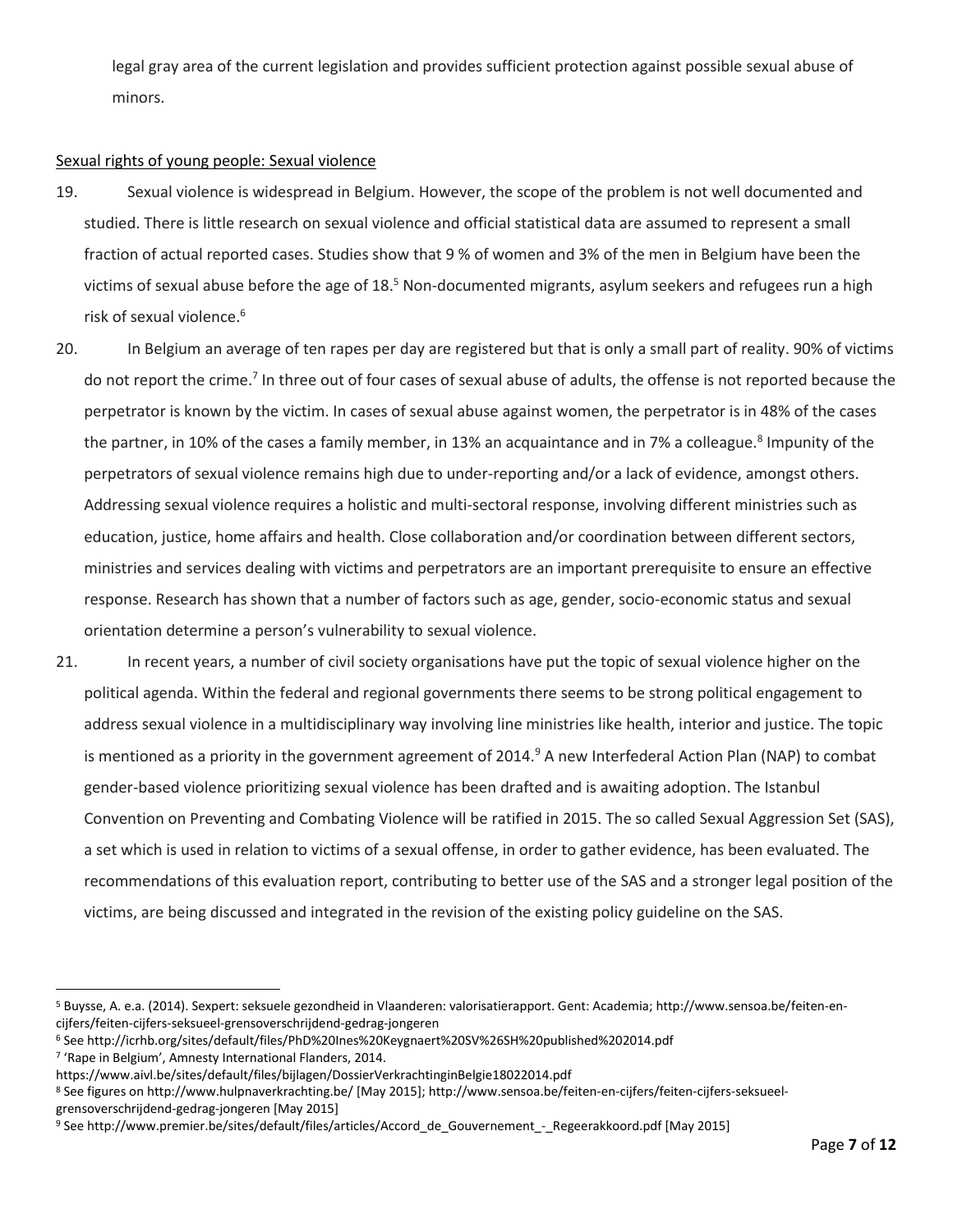legal gray area of the current legislation and provides sufficient protection against possible sexual abuse of minors.

## Sexual rights of young people: Sexual violence

- 19. Sexual violence is widespread in Belgium. However, the scope of the problem is not well documented and studied. There is little research on sexual violence and official statistical data are assumed to represent a small fraction of actual reported cases. Studies show that 9 % of women and 3% of the men in Belgium have been the victims of sexual abuse before the age of 18.<sup>5</sup> Non-documented migrants, asylum seekers and refugees run a high risk of sexual violence. 6
- 20. In Belgium an average of ten rapes per day are registered but that is only a small part of reality. 90% of victims do not report the crime.<sup>7</sup> In three out of four cases of sexual abuse of adults, the offense is not reported because the perpetrator is known by the victim. In cases of sexual abuse against women, the perpetrator is in 48% of the cases the partner, in 10% of the cases a family member, in 13% an acquaintance and in 7% a colleague.<sup>8</sup> Impunity of the perpetrators of sexual violence remains high due to under-reporting and/or a lack of evidence, amongst others. Addressing sexual violence requires a holistic and multi-sectoral response, involving different ministries such as education, justice, home affairs and health. Close collaboration and/or coordination between different sectors, ministries and services dealing with victims and perpetrators are an important prerequisite to ensure an effective response. Research has shown that a number of factors such as age, gender, socio-economic status and sexual orientation determine a person's vulnerability to sexual violence.
- 21. In recent years, a number of civil society organisations have put the topic of sexual violence higher on the political agenda. Within the federal and regional governments there seems to be strong political engagement to address sexual violence in a multidisciplinary way involving line ministries like health, interior and justice. The topic is mentioned as a priority in the government agreement of 2014.<sup>9</sup> A new Interfederal Action Plan (NAP) to combat gender-based violence prioritizing sexual violence has been drafted and is awaiting adoption. The Istanbul Convention on Preventing and Combating Violence will be ratified in 2015. The so called Sexual Aggression Set (SAS), a set which is used in relation to victims of a sexual offense, in order to gather evidence, has been evaluated. The recommendations of this evaluation report, contributing to better use of the SAS and a stronger legal position of the victims, are being discussed and integrated in the revision of the existing policy guideline on the SAS.

l

<sup>5</sup> Buysse, A. e.a. (2014). Sexpert: seksuele gezondheid in Vlaanderen: valorisatierapport. Gent: Academia; http://www.sensoa.be/feiten-encijfers/feiten-cijfers-seksueel-grensoverschrijdend-gedrag-jongeren

<sup>6</sup> See http://icrhb.org/sites/default/files/PhD%20Ines%20Keygnaert%20SV%26SH%20published%202014.pdf

<sup>7</sup> 'Rape in Belgium', Amnesty International Flanders, 2014.

https://www.aivl.be/sites/default/files/bijlagen/DossierVerkrachtinginBelgie18022014.pdf

<sup>8</sup> See figures on http://www.hulpnaverkrachting.be/ [May 2015]; http://www.sensoa.be/feiten-en-cijfers/feiten-cijfers-seksueelgrensoverschrijdend-gedrag-jongeren [May 2015]

<sup>9</sup> See http://www.premier.be/sites/default/files/articles/Accord\_de\_Gouvernement\_-\_Regeerakkoord.pdf [May 2015]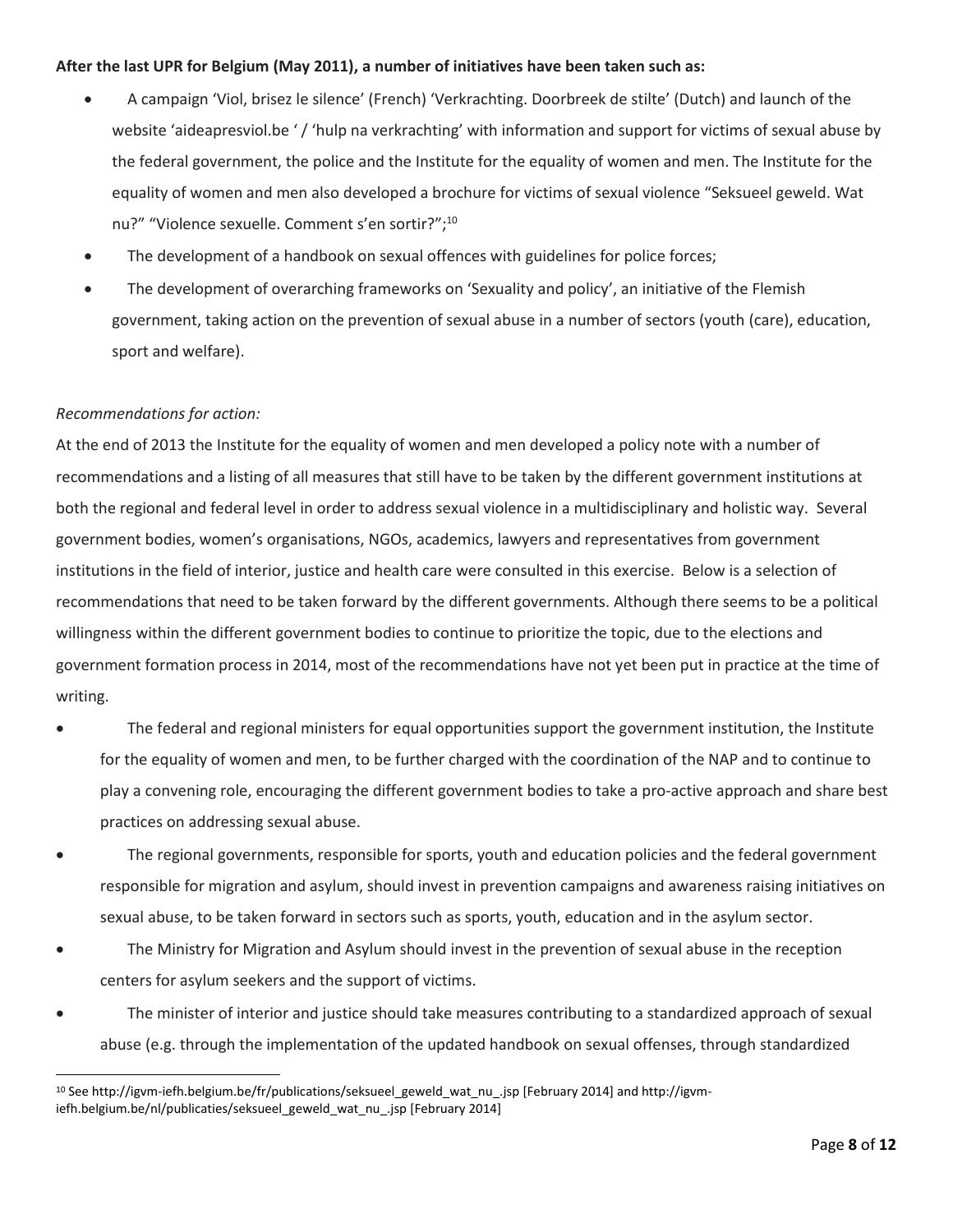## **After the last UPR for Belgium (May 2011), a number of initiatives have been taken such as:**

- A campaign 'Viol, brisez le silence' (French) 'Verkrachting. Doorbreek de stilte' (Dutch) and launch of the website 'aideapresviol.be '/ 'hulp na verkrachting' with information and support for victims of sexual abuse by the federal government, the police and the Institute for the equality of women and men. The Institute for the equality of women and men also developed a brochure for victims of sexual violence "Seksueel geweld. Wat nu?" "Violence sexuelle. Comment s'en sortir?";<sup>10</sup>
- The development of a handbook on sexual offences with guidelines for police forces;
- The development of overarching frameworks on 'Sexuality and policy', an initiative of the Flemish government, taking action on the prevention of sexual abuse in a number of sectors (youth (care), education, sport and welfare).

## *Recommendations for action:*

 $\overline{\phantom{a}}$ 

At the end of 2013 the Institute for the equality of women and men developed a policy note with a number of recommendations and a listing of all measures that still have to be taken by the different government institutions at both the regional and federal level in order to address sexual violence in a multidisciplinary and holistic way. Several government bodies, women's organisations, NGOs, academics, lawyers and representatives from government institutions in the field of interior, justice and health care were consulted in this exercise. Below is a selection of recommendations that need to be taken forward by the different governments. Although there seems to be a political willingness within the different government bodies to continue to prioritize the topic, due to the elections and government formation process in 2014, most of the recommendations have not yet been put in practice at the time of writing.

- The federal and regional ministers for equal opportunities support the government institution, the Institute for the equality of women and men, to be further charged with the coordination of the NAP and to continue to play a convening role, encouraging the different government bodies to take a pro-active approach and share best practices on addressing sexual abuse.
- The regional governments, responsible for sports, youth and education policies and the federal government responsible for migration and asylum, should invest in prevention campaigns and awareness raising initiatives on sexual abuse, to be taken forward in sectors such as sports, youth, education and in the asylum sector.
- The Ministry for Migration and Asylum should invest in the prevention of sexual abuse in the reception centers for asylum seekers and the support of victims.
- The minister of interior and justice should take measures contributing to a standardized approach of sexual abuse (e.g. through the implementation of the updated handbook on sexual offenses, through standardized

<sup>10</sup> See http://igvm-iefh.belgium.be/fr/publications/seksueel\_geweld\_wat\_nu\_.jsp [February 2014] and http://igvmiefh.belgium.be/nl/publicaties/seksueel\_geweld\_wat\_nu\_.jsp [February 2014]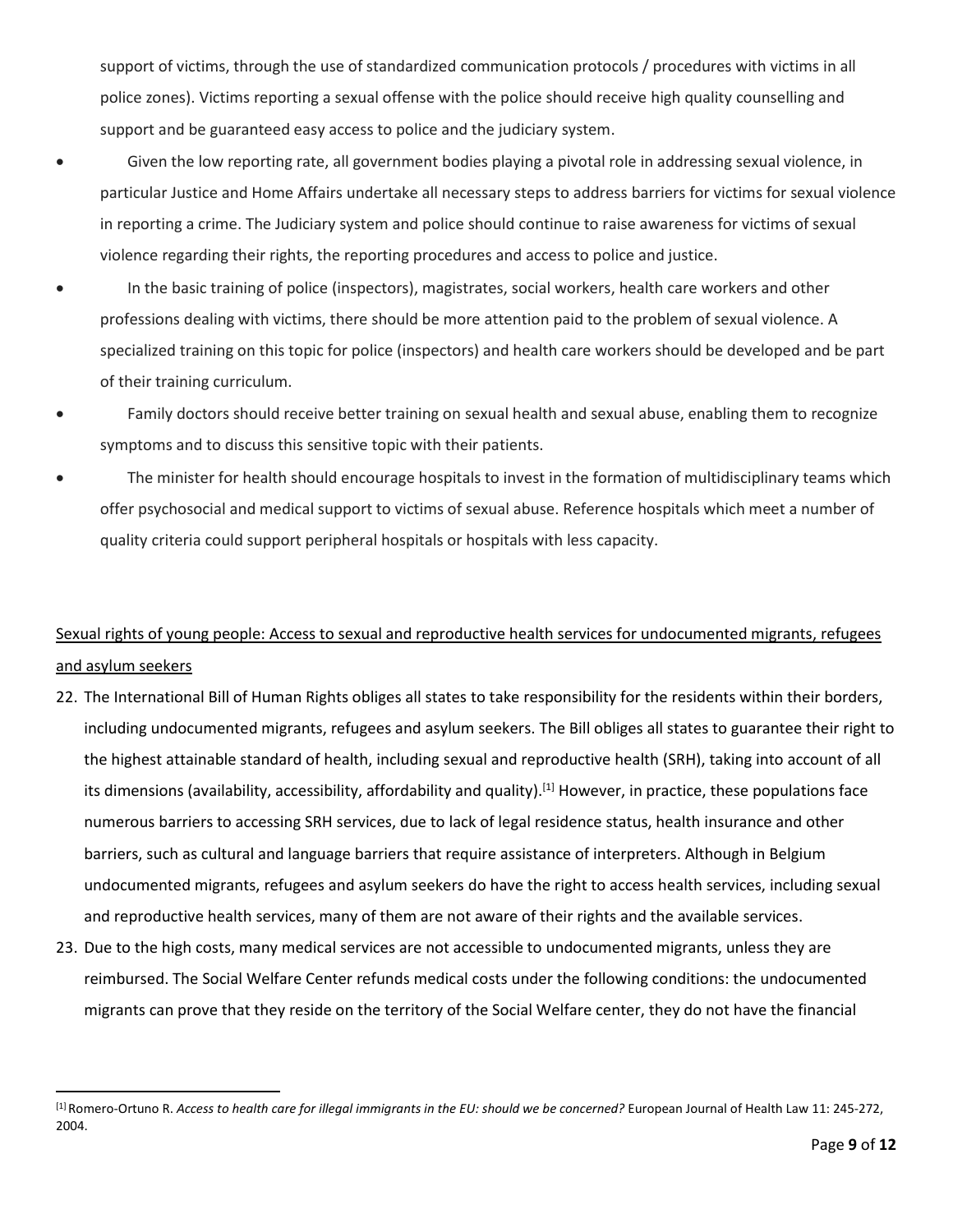support of victims, through the use of standardized communication protocols / procedures with victims in all police zones). Victims reporting a sexual offense with the police should receive high quality counselling and support and be guaranteed easy access to police and the judiciary system.

- Given the low reporting rate, all government bodies playing a pivotal role in addressing sexual violence, in particular Justice and Home Affairs undertake all necessary steps to address barriers for victims for sexual violence in reporting a crime. The Judiciary system and police should continue to raise awareness for victims of sexual violence regarding their rights, the reporting procedures and access to police and justice.
- In the basic training of police (inspectors), magistrates, social workers, health care workers and other professions dealing with victims, there should be more attention paid to the problem of sexual violence. A specialized training on this topic for police (inspectors) and health care workers should be developed and be part of their training curriculum.
- Family doctors should receive better training on sexual health and sexual abuse, enabling them to recognize symptoms and to discuss this sensitive topic with their patients.
- The minister for health should encourage hospitals to invest in the formation of multidisciplinary teams which offer psychosocial and medical support to victims of sexual abuse. Reference hospitals which meet a number of quality criteria could support peripheral hospitals or hospitals with less capacity.

# Sexual rights of young people: Access to sexual and reproductive health services for undocumented migrants, refugees and asylum seekers

- 22. The International Bill of Human Rights obliges all states to take responsibility for the residents within their borders, including undocumented migrants, refugees and asylum seekers. The Bill obliges all states to guarantee their right to the highest attainable standard of health, including sexual and reproductive health (SRH), taking into account of all its dimensions (availability, accessibility, affordability and quality).<sup>[1]</sup> However, in practice, these populations face numerous barriers to accessing SRH services, due to lack of legal residence status, health insurance and other barriers, such as cultural and language barriers that require assistance of interpreters. Although in Belgium undocumented migrants, refugees and asylum seekers do have the right to access health services, including sexual and reproductive health services, many of them are not aware of their rights and the available services.
- 23. Due to the high costs, many medical services are not accessible to undocumented migrants, unless they are reimbursed. The Social Welfare Center refunds medical costs under the following conditions: the undocumented migrants can prove that they reside on the territory of the Social Welfare center, they do not have the financial

 $\overline{a}$ 

<sup>[1]</sup> Romero-Ortuno R. *Access to health care for illegal immigrants in the EU: should we be concerned?* European Journal of Health Law 11: 245-272, 2004.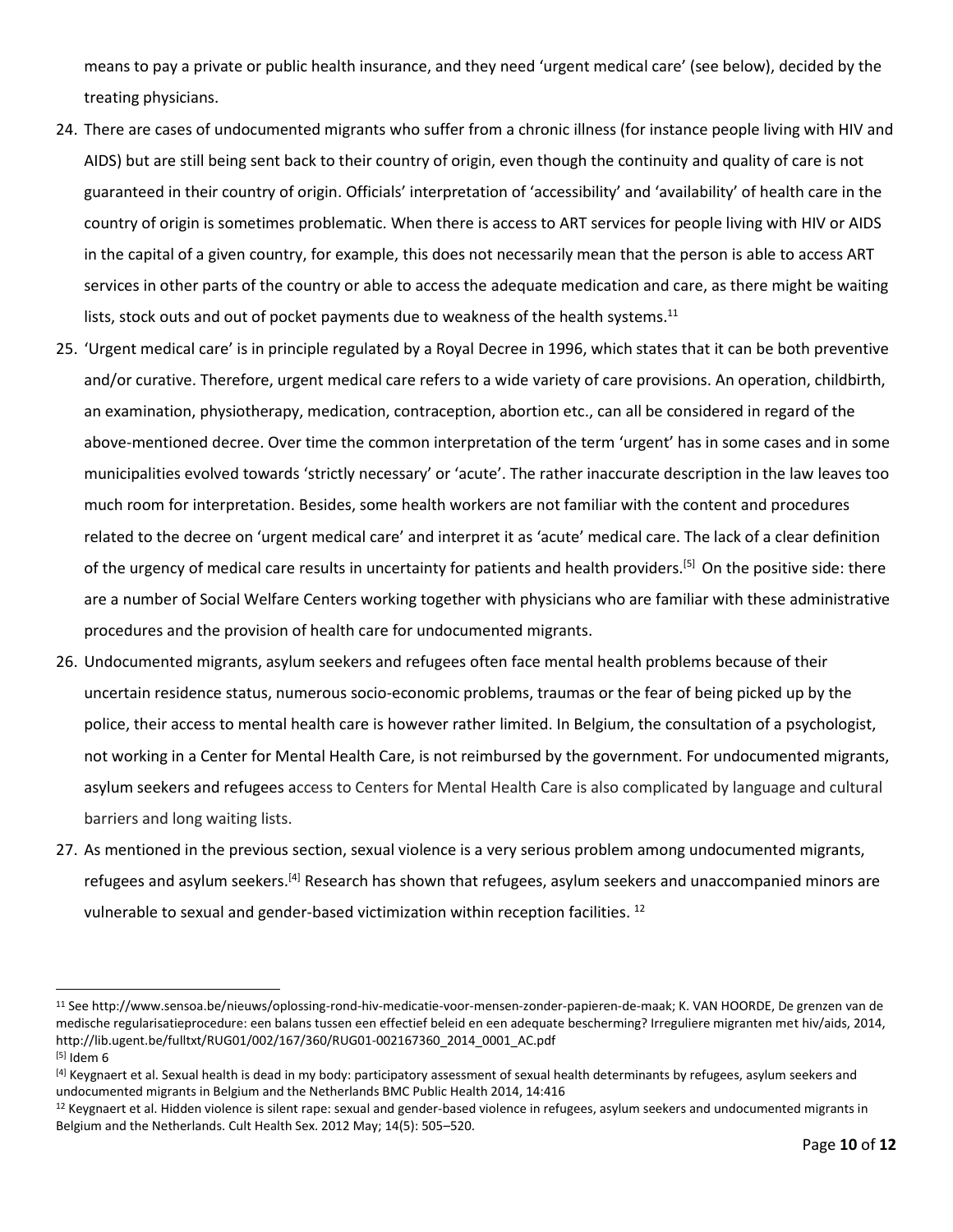means to pay a private or public health insurance, and they need 'urgent medical care' (see below), decided by the treating physicians.

- 24. There are cases of undocumented migrants who suffer from a chronic illness (for instance people living with HIV and AIDS) but are still being sent back to their country of origin, even though the continuity and quality of care is not guaranteed in their country of origin. Officials' interpretation of 'accessibility' and 'availability' of health care in the country of origin is sometimes problematic. When there is access to ART services for people living with HIV or AIDS in the capital of a given country, for example, this does not necessarily mean that the person is able to access ART services in other parts of the country or able to access the adequate medication and care, as there might be waiting lists, stock outs and out of pocket payments due to weakness of the health systems.<sup>11</sup>
- 25. 'Urgent medical care' is in principle regulated by a Royal Decree in 1996, which states that it can be both preventive and/or curative. Therefore, urgent medical care refers to a wide variety of care provisions. An operation, childbirth, an examination, physiotherapy, medication, contraception, abortion etc., can all be considered in regard of the above-mentioned decree. Over time the common interpretation of the term 'urgent' has in some cases and in some municipalities evolved towards 'strictly necessary' or 'acute'. The rather inaccurate description in the law leaves too much room for interpretation. Besides, some health workers are not familiar with the content and procedures related to the decree on 'urgent medical care' and interpret it as 'acute' medical care. The lack of a clear definition of the urgency of medical care results in uncertainty for patients and health providers.<sup>[5]</sup> On the positive side: there are a number of Social Welfare Centers working together with physicians who are familiar with these administrative procedures and the provision of health care for undocumented migrants.
- 26. Undocumented migrants, asylum seekers and refugees often face mental health problems because of their uncertain residence status, numerous socio-economic problems, traumas or the fear of being picked up by the police, their access to mental health care is however rather limited. In Belgium, the consultation of a psychologist, not working in a Center for Mental Health Care, is not reimbursed by the government. For undocumented migrants, asylum seekers and refugees access to Centers for Mental Health Care is also complicated by language and cultural barriers and long waiting lists.
- 27. As mentioned in the previous section, sexual violence is a very serious problem among undocumented migrants, refugees and asylum seekers.<sup>[4]</sup> Research has shown that refugees, asylum seekers and unaccompanied minors are vulnerable to sexual and gender-based victimization within reception facilities. <sup>12</sup>

l

<sup>11</sup> See http://www.sensoa.be/nieuws/oplossing-rond-hiv-medicatie-voor-mensen-zonder-papieren-de-maak; K. VAN HOORDE, De grenzen van de medische regularisatieprocedure: een balans tussen een effectief beleid en een adequate bescherming? Irreguliere migranten met hiv/aids, 2014, http://lib.ugent.be/fulltxt/RUG01/002/167/360/RUG01-002167360\_2014\_0001\_AC.pdf  $[5]$  Idem 6

<sup>[4]</sup> Keygnaert et al. Sexual health is dead in my body: participatory assessment of sexual health determinants by refugees, asylum seekers and undocumented migrants in Belgium and the Netherlands BMC Public Health 2014, 14:416

 $12$  Keygnaert et al. Hidden violence is silent rape: sexual and gender-based violence in refugees, asylum seekers and undocumented migrants in Belgium and the Netherlands. Cult Health Sex. 2012 May; 14(5): 505–520.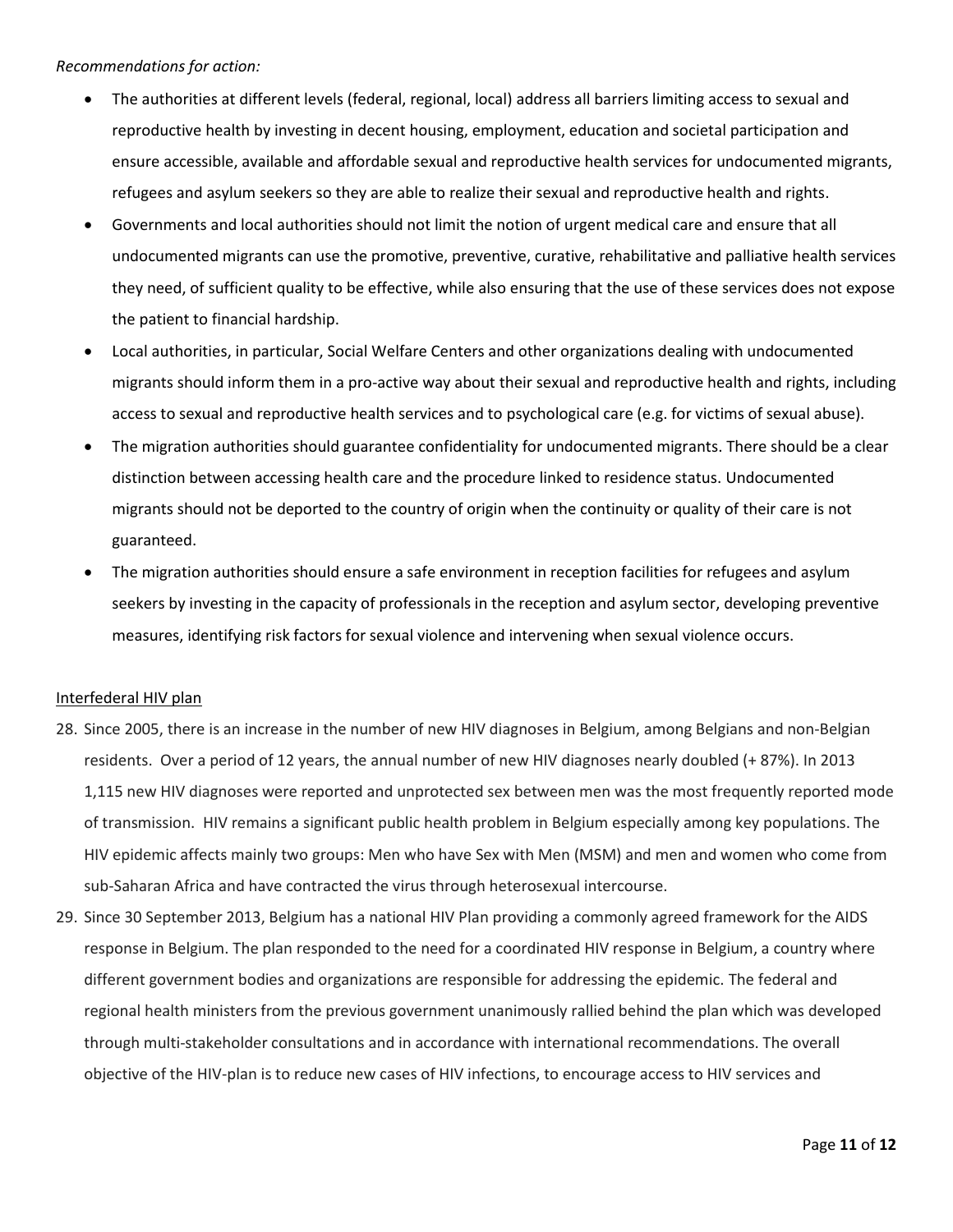## *Recommendations for action:*

- The authorities at different levels (federal, regional, local) address all barriers limiting access to sexual and reproductive health by investing in decent housing, employment, education and societal participation and ensure accessible, available and affordable sexual and reproductive health services for undocumented migrants, refugees and asylum seekers so they are able to realize their sexual and reproductive health and rights.
- Governments and local authorities should not limit the notion of urgent medical care and ensure that all undocumented migrants can use the promotive, preventive, curative, rehabilitative and palliative health services they need, of sufficient quality to be effective, while also ensuring that the use of these services does not expose the patient to financial hardship.
- Local authorities, in particular, Social Welfare Centers and other organizations dealing with undocumented migrants should inform them in a pro-active way about their sexual and reproductive health and rights, including access to sexual and reproductive health services and to psychological care (e.g. for victims of sexual abuse).
- The migration authorities should guarantee confidentiality for undocumented migrants. There should be a clear distinction between accessing health care and the procedure linked to residence status. Undocumented migrants should not be deported to the country of origin when the continuity or quality of their care is not guaranteed.
- The migration authorities should ensure a safe environment in reception facilities for refugees and asylum seekers by investing in the capacity of professionals in the reception and asylum sector, developing preventive measures, identifying risk factors for sexual violence and intervening when sexual violence occurs.

#### Interfederal HIV plan

- 28. Since 2005, there is an increase in the number of new HIV diagnoses in Belgium, among Belgians and non-Belgian residents. Over a period of 12 years, the annual number of new HIV diagnoses nearly doubled (+ 87%). In 2013 1,115 new HIV diagnoses were reported and unprotected sex between men was the most frequently reported mode of transmission. HIV remains a significant public health problem in Belgium especially among key populations. The HIV epidemic affects mainly two groups: Men who have Sex with Men (MSM) and men and women who come from sub-Saharan Africa and have contracted the virus through heterosexual intercourse.
- 29. Since 30 September 2013, Belgium has a national HIV Plan providing a commonly agreed framework for the AIDS response in Belgium. The plan responded to the need for a coordinated HIV response in Belgium, a country where different government bodies and organizations are responsible for addressing the epidemic. The federal and regional health ministers from the previous government unanimously rallied behind the plan which was developed through multi-stakeholder consultations and in accordance with international recommendations. The overall objective of the HIV-plan is to reduce new cases of HIV infections, to encourage access to HIV services and